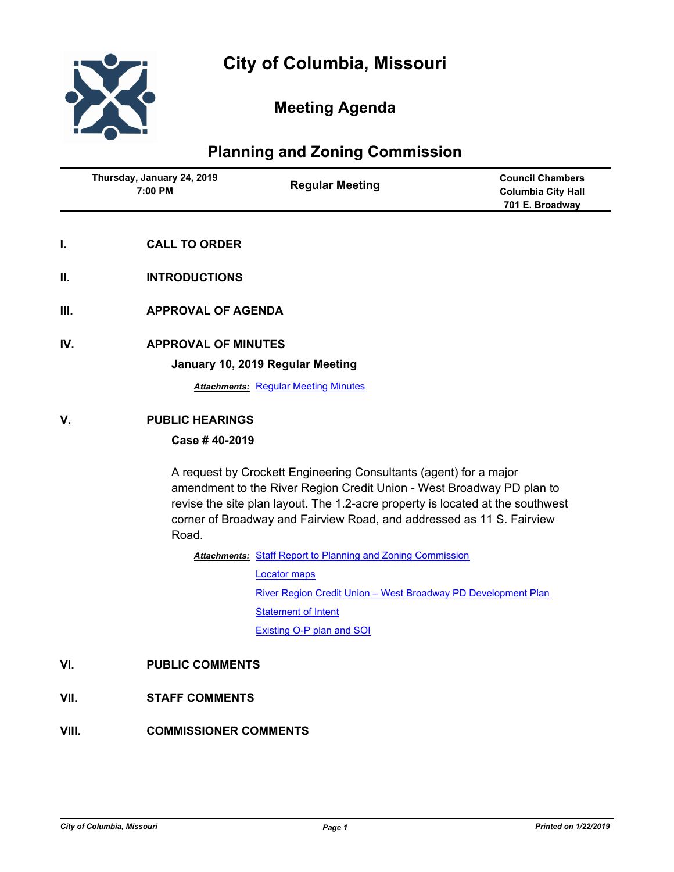

## **Meeting Agenda**

## **Planning and Zoning Commission**

| Thursday, January 24, 2019<br>7:00 PM |                            | <b>Regular Meeting</b>                                                                                                                                                                                                                                                                                | <b>Council Chambers</b><br><b>Columbia City Hall</b><br>701 E. Broadway |  |
|---------------------------------------|----------------------------|-------------------------------------------------------------------------------------------------------------------------------------------------------------------------------------------------------------------------------------------------------------------------------------------------------|-------------------------------------------------------------------------|--|
| L.                                    | <b>CALL TO ORDER</b>       |                                                                                                                                                                                                                                                                                                       |                                                                         |  |
| Ш.                                    | <b>INTRODUCTIONS</b>       |                                                                                                                                                                                                                                                                                                       |                                                                         |  |
| Ш.                                    | <b>APPROVAL OF AGENDA</b>  |                                                                                                                                                                                                                                                                                                       |                                                                         |  |
| IV.                                   | <b>APPROVAL OF MINUTES</b> |                                                                                                                                                                                                                                                                                                       |                                                                         |  |
|                                       |                            | January 10, 2019 Regular Meeting                                                                                                                                                                                                                                                                      |                                                                         |  |
|                                       |                            | <b>Attachments: Regular Meeting Minutes</b>                                                                                                                                                                                                                                                           |                                                                         |  |
| V.                                    | <b>PUBLIC HEARINGS</b>     |                                                                                                                                                                                                                                                                                                       |                                                                         |  |
|                                       | Case #40-2019              |                                                                                                                                                                                                                                                                                                       |                                                                         |  |
|                                       | Road.                      | A request by Crockett Engineering Consultants (agent) for a major<br>amendment to the River Region Credit Union - West Broadway PD plan to<br>revise the site plan layout. The 1.2-acre property is located at the southwest<br>corner of Broadway and Fairview Road, and addressed as 11 S. Fairview |                                                                         |  |
|                                       |                            | <b>Attachments: Staff Report to Planning and Zoning Commission</b>                                                                                                                                                                                                                                    |                                                                         |  |
|                                       |                            | <b>Locator maps</b>                                                                                                                                                                                                                                                                                   |                                                                         |  |
|                                       |                            | River Region Credit Union - West Broadway PD Development Plan                                                                                                                                                                                                                                         |                                                                         |  |
|                                       |                            | <b>Statement of Intent</b>                                                                                                                                                                                                                                                                            |                                                                         |  |
|                                       |                            | <b>Existing O-P plan and SOI</b>                                                                                                                                                                                                                                                                      |                                                                         |  |
| VI.                                   |                            | <b>PUBLIC COMMENTS</b>                                                                                                                                                                                                                                                                                |                                                                         |  |
| VII.                                  |                            | <b>STAFF COMMENTS</b>                                                                                                                                                                                                                                                                                 |                                                                         |  |
| VIII.                                 |                            | <b>COMMISSIONER COMMENTS</b>                                                                                                                                                                                                                                                                          |                                                                         |  |